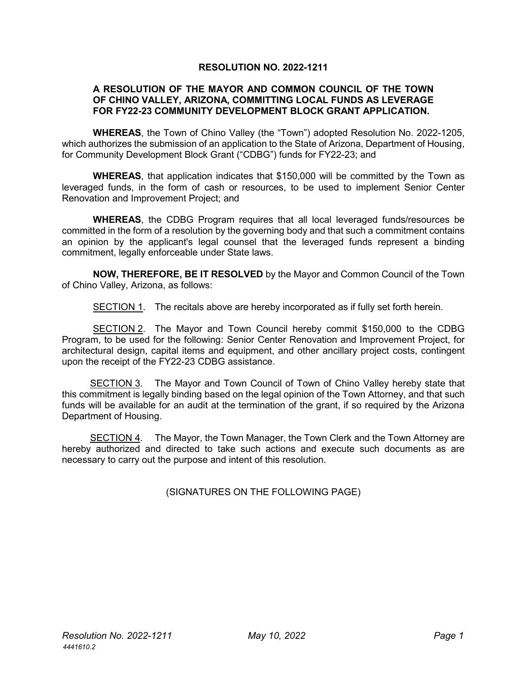## **RESOLUTION NO. 2022-1211**

## **A RESOLUTION OF THE MAYOR AND COMMON COUNCIL OF THE TOWN OF CHINO VALLEY, ARIZONA, COMMITTING LOCAL FUNDS AS LEVERAGE FOR FY22-23 COMMUNITY DEVELOPMENT BLOCK GRANT APPLICATION.**

**WHEREAS**, the Town of Chino Valley (the "Town") adopted Resolution No. 2022-1205, which authorizes the submission of an application to the State of Arizona, Department of Housing, for Community Development Block Grant ("CDBG") funds for FY22-23; and

**WHEREAS**, that application indicates that \$150,000 will be committed by the Town as leveraged funds, in the form of cash or resources, to be used to implement Senior Center Renovation and Improvement Project; and

**WHEREAS**, the CDBG Program requires that all local leveraged funds/resources be committed in the form of a resolution by the governing body and that such a commitment contains an opinion by the applicant's legal counsel that the leveraged funds represent a binding commitment, legally enforceable under State laws.

**NOW, THEREFORE, BE IT RESOLVED** by the Mayor and Common Council of the Town of Chino Valley, Arizona, as follows:

SECTION 1. The recitals above are hereby incorporated as if fully set forth herein.

SECTION 2. The Mayor and Town Council hereby commit \$150,000 to the CDBG Program, to be used for the following: Senior Center Renovation and Improvement Project, for architectural design, capital items and equipment, and other ancillary project costs, contingent upon the receipt of the FY22-23 CDBG assistance.

SECTION 3. The Mayor and Town Council of Town of Chino Valley hereby state that this commitment is legally binding based on the legal opinion of the Town Attorney, and that such funds will be available for an audit at the termination of the grant, if so required by the Arizona Department of Housing.

SECTION 4. The Mayor, the Town Manager, the Town Clerk and the Town Attorney are hereby authorized and directed to take such actions and execute such documents as are necessary to carry out the purpose and intent of this resolution.

(SIGNATURES ON THE FOLLOWING PAGE)